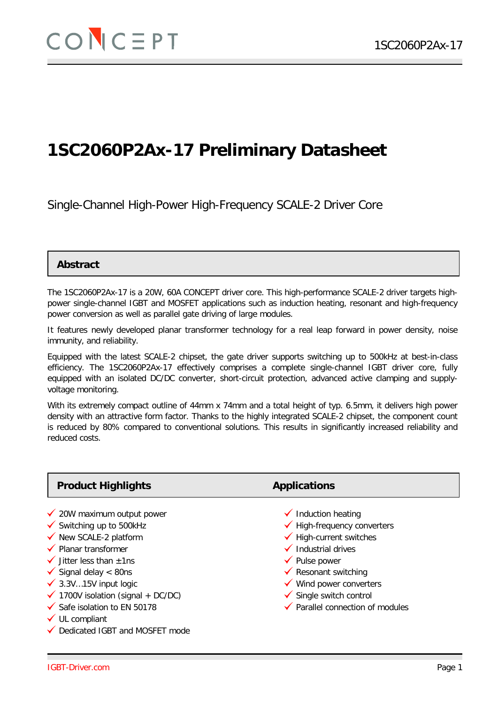# **1SC2060P2Ax-17 Preliminary Datasheet**

Single-Channel High-Power High-Frequency SCALE-2 Driver Core

### **Abstract**

The 1SC2060P2Ax-17 is a 20W, 60A CONCEPT driver core. This high-performance SCALE-2 driver targets highpower single-channel IGBT and MOSFET applications such as induction heating, resonant and high-frequency power conversion as well as parallel gate driving of large modules.

It features newly developed planar transformer technology for a real leap forward in power density, noise immunity, and reliability.

Equipped with the latest SCALE-2 chipset, the gate driver supports switching up to 500kHz at best-in-class efficiency. The 1SC2060P2Ax-17 effectively comprises a complete single-channel IGBT driver core, fully equipped with an isolated DC/DC converter, short-circuit protection, advanced active clamping and supplyvoltage monitoring.

With its extremely compact outline of 44mm x 74mm and a total height of typ. 6.5mm, it delivers high power density with an attractive form factor. Thanks to the highly integrated SCALE-2 chipset, the component count is reduced by 80% compared to conventional solutions. This results in significantly increased reliability and reduced costs.

| <b>Product Highlights</b>                     | <b>Applications</b>                    |
|-----------------------------------------------|----------------------------------------|
| $\checkmark$ 20W maximum output power         | $\checkmark$ Induction heating         |
| $\checkmark$ Switching up to 500kHz           | $\checkmark$ High-frequency converters |
| ◆ New SCALE-2 platform                        | $\checkmark$ High-current switches     |
| ✔ Planar transformer                          | $\checkmark$ Industrial drives         |
| $\checkmark$ Jitter less than $\pm$ 1ns       | $\checkmark$ Pulse power               |
| $\checkmark$ Signal delay < 80ns              | $\checkmark$ Resonant switching        |
| $\checkmark$ 3.3V15V input logic              | $\checkmark$ Wind power converters     |
| $\checkmark$ 1700V isolation (signal + DC/DC) | $\checkmark$ Single switch control     |
| $\checkmark$ Safe isolation to EN 50178       | ✔ Parallel connection of modules       |

 $\checkmark$  UL compliant

Dedicated IGBT and MOSFET mode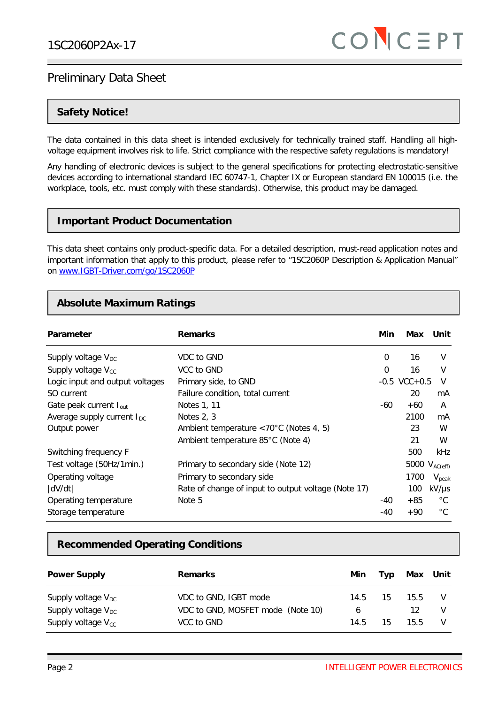### **Safety Notice!**

The data contained in this data sheet is intended exclusively for technically trained staff. Handling all highvoltage equipment involves risk to life. Strict compliance with the respective safety regulations is mandatory!

Any handling of electronic devices is subject to the general specifications for protecting electrostatic-sensitive devices according to international standard IEC 60747-1, Chapter IX or European standard EN 100015 (i.e. the workplace, tools, etc. must comply with these standards). Otherwise, this product may be damaged.

### **Important Product Documentation**

This data sheet contains only product-specific data. For a detailed description, must-read application notes and important information that apply to this product, please refer to "1SC2060P Description & Application Manual" on [www.IGBT-Driver.com/go/1SC2060P](http://www.igbt-driver.com/go/1SC0108T)

### **Absolute Maximum Ratings**

| Parameter                       | <b>Remarks</b>                                          | Min      | Max                | Unit              |
|---------------------------------|---------------------------------------------------------|----------|--------------------|-------------------|
| Supply voltage $V_{DC}$         | VDC to GND                                              | $\Omega$ | 16                 | $\vee$            |
| Supply voltage $V_{cc}$         | VCC to GND                                              | $\Omega$ | 16                 | $\vee$            |
| Logic input and output voltages | Primary side, to GND                                    |          | $-0.5$ VCC $+0.5$  | V                 |
| SO current                      | Failure condition, total current                        |          | 20                 | mA                |
| Gate peak current $I_{out}$     | Notes 1, 11                                             | -60      | $+60$              | A                 |
| Average supply current $I_{DC}$ | Notes $2, 3$                                            |          | 2100               | mA                |
| Output power                    | Ambient temperature $\langle 70^{\circ}$ C (Notes 4, 5) |          | 23                 | W                 |
|                                 | Ambient temperature 85°C (Note 4)                       |          | 21                 | W                 |
| Switching frequency F           |                                                         |          | 500                | kHz               |
| Test voltage (50Hz/1min.)       | Primary to secondary side (Note 12)                     |          | 5000 $V_{AC(eff)}$ |                   |
| Operating voltage               | Primary to secondary side                               |          | 1700               | $V_{\text{peak}}$ |
| dV/dt                           | Rate of change of input to output voltage (Note 17)     |          | 100                | $kV/\mu s$        |
| Operating temperature           | Note 5                                                  | -40      | $+85$              | $^{\circ}$ C      |
| Storage temperature             |                                                         | $-40$    | $+90$              | $^{\circ}$ C      |

### **Recommended Operating Conditions**

| <b>Power Supply</b>            | <b>Remarks</b>                    | Min  | Typ | Max Unit        |   |
|--------------------------------|-----------------------------------|------|-----|-----------------|---|
| Supply voltage $V_{\text{DC}}$ | VDC to GND, IGBT mode             | 14.5 | 15  | 15.5            |   |
| Supply voltage $V_{DC}$        | VDC to GND, MOSFET mode (Note 10) | 6    |     |                 | v |
| Supply voltage $V_{cc}$        | VCC to GND                        | 14.5 | 15  | 15 <sub>5</sub> |   |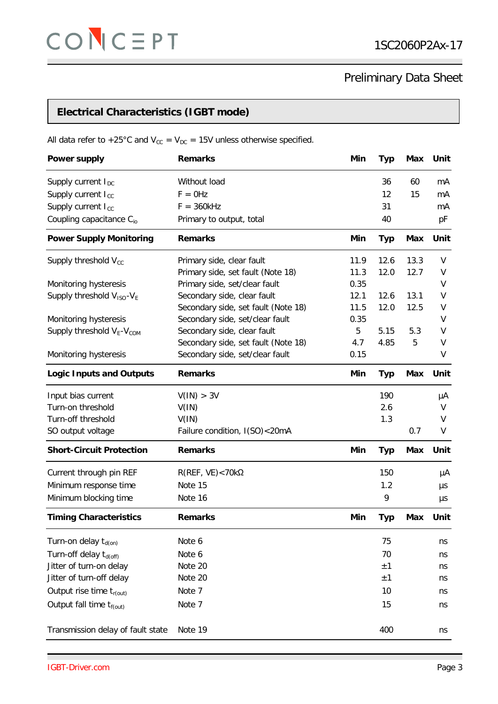## **Electrical Characteristics (IGBT mode)**

All data refer to +25°C and  $V_{CC} = V_{DC} = 15V$  unless otherwise specified.

| <b>Power supply</b>                               | <b>Remarks</b>                      | Min  | Typ        | Max        | Unit |
|---------------------------------------------------|-------------------------------------|------|------------|------------|------|
| Supply current $I_{DC}$                           | Without load                        |      | 36         | 60         | mA   |
| Supply current I <sub>cc</sub>                    | $F = 0$ Hz                          |      | 12         | 15         | mA   |
| Supply current I <sub>cc</sub>                    | $F = 360kHz$                        |      | 31         |            | mA   |
| Coupling capacitance C <sub>io</sub>              | Primary to output, total            |      | 40         |            | рF   |
| <b>Power Supply Monitoring</b>                    | <b>Remarks</b>                      | Min  | <b>Typ</b> | Max        | Unit |
| Supply threshold V <sub>cc</sub>                  | Primary side, clear fault           | 11.9 | 12.6       | 13.3       | V    |
|                                                   | Primary side, set fault (Note 18)   | 11.3 | 12.0       | 12.7       | V    |
| Monitoring hysteresis                             | Primary side, set/clear fault       | 0.35 |            |            | V    |
| Supply threshold V <sub>ISO</sub> -V <sub>E</sub> | Secondary side, clear fault         | 12.1 | 12.6       | 13.1       | V    |
|                                                   | Secondary side, set fault (Note 18) | 11.5 | 12.0       | 12.5       | V    |
| Monitoring hysteresis                             | Secondary side, set/clear fault     | 0.35 |            |            | V    |
| Supply threshold $V_{E}$ - $V_{COM}$              | Secondary side, clear fault         | 5    | 5.15       | 5.3        | V    |
|                                                   | Secondary side, set fault (Note 18) | 4.7  | 4.85       | 5          | V    |
| Monitoring hysteresis                             | Secondary side, set/clear fault     | 0.15 |            |            | V    |
| <b>Logic Inputs and Outputs</b>                   | <b>Remarks</b>                      | Min  | <b>Typ</b> | <b>Max</b> | Unit |
| Input bias current                                | V(IN) > 3V                          |      | 190        |            | μA   |
| Turn-on threshold                                 | V(IN)                               |      | 2.6        |            | V    |
| Turn-off threshold                                | V(IN)                               |      | 1.3        |            | V    |
| SO output voltage                                 | Failure condition, I(SO)<20mA       |      |            | 0.7        | V    |
| <b>Short-Circuit Protection</b>                   | <b>Remarks</b>                      | Min  | <b>Typ</b> | <b>Max</b> | Unit |
| Current through pin REF                           | $R(REF, VE)$ < 70k $\Omega$         |      | 150        |            | μA   |
| Minimum response time                             | Note 15                             |      | 1.2        |            | μs   |
| Minimum blocking time                             | Note 16                             |      | 9          |            | μs   |
| <b>Timing Characteristics</b>                     | <b>Remarks</b>                      | Min  | <b>Typ</b> | Max        | Unit |
| Turn-on delay $t_{d(0n)}$                         | Note 6                              |      | 75         |            | ns   |
| Turn-off delay t <sub>d(off)</sub>                | Note 6                              |      | 70         |            | ns   |
| Jitter of turn-on delay                           | Note 20                             |      | ±1         |            | ns   |
| Jitter of turn-off delay                          | Note 20                             |      | ±1         |            | ns   |
| Output rise time $t_{r(out)}$                     | Note 7                              |      | 10         |            | ns   |
|                                                   |                                     |      |            |            |      |
| Output fall time $t_{f(out)}$                     | Note 7                              |      | 15         |            | ns   |
| Transmission delay of fault state                 | Note 19                             |      | 400        |            | ns   |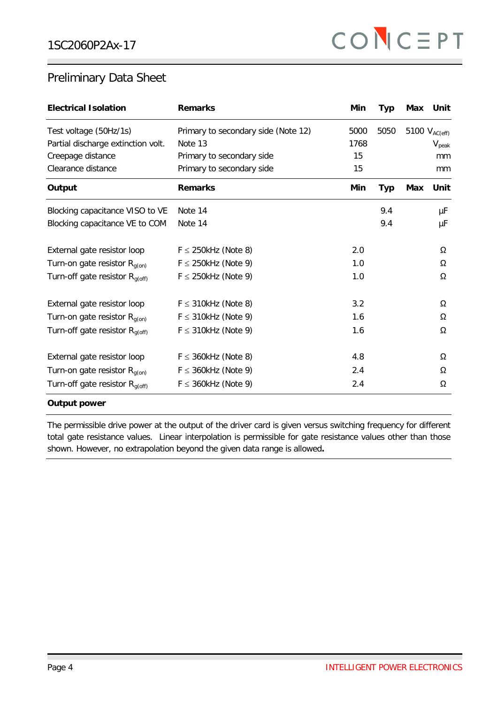| <b>Electrical Isolation</b>         | <b>Remarks</b>                      | Min  | <b>Typ</b> | Max | Unit               |
|-------------------------------------|-------------------------------------|------|------------|-----|--------------------|
| Test voltage (50Hz/1s)              | Primary to secondary side (Note 12) | 5000 | 5050       |     | 5100 $V_{AC(eff)}$ |
| Partial discharge extinction volt.  | Note 13                             | 1768 |            |     | $V_{\text{peak}}$  |
| Creepage distance                   | Primary to secondary side           | 15   |            |     | mm                 |
| Clearance distance                  | Primary to secondary side           | 15   |            |     | mm                 |
| Output                              | <b>Remarks</b>                      | Min  | <b>Typ</b> | Max | Unit               |
| Blocking capacitance VISO to VE     | Note 14                             |      | 9.4        |     | μF                 |
| Blocking capacitance VE to COM      | Note 14                             |      | 9.4        |     | μF                 |
| External gate resistor loop         | $F \leq 250$ kHz (Note 8)           | 2.0  |            |     | Ω                  |
| Turn-on gate resistor $R_{q(0n)}$   | $F \leq 250$ kHz (Note 9)           | 1.0  |            |     | Ω                  |
| Turn-off gate resistor $R_{q(off)}$ | $F \leq 250$ kHz (Note 9)           | 1.0  |            |     | Ω                  |
| External gate resistor loop         | $F \leq 310$ kHz (Note 8)           | 3.2  |            |     | Ω                  |
| Turn-on gate resistor $R_{q(0n)}$   | $F \leq 310$ kHz (Note 9)           | 1.6  |            |     | Ω                  |
| Turn-off gate resistor $R_{g(off)}$ | $F \leq 310$ kHz (Note 9)           | 1.6  |            |     | Ω                  |
| External gate resistor loop         | $F \leq 360$ kHz (Note 8)           | 4.8  |            |     | Ω                  |
| Turn-on gate resistor $R_{q(0n)}$   | $F \leq 360$ kHz (Note 9)           | 2.4  |            |     | Ω                  |
| Turn-off gate resistor $R_{g(off)}$ | $F \leq 360$ kHz (Note 9)           | 2.4  |            |     | Ω                  |

#### **Output power**

The permissible drive power at the output of the driver card is given versus switching frequency for different total gate resistance values. Linear interpolation is permissible for gate resistance values other than those shown. However, no extrapolation beyond the given data range is allowed**.**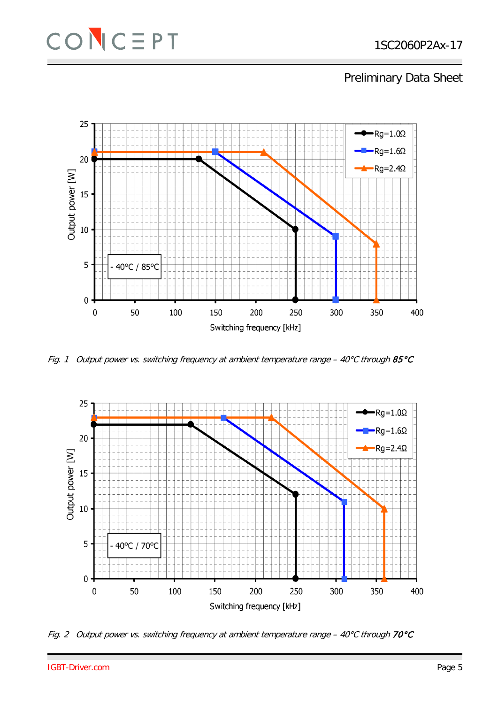



Fig. 1 Output power vs. switching frequency at ambient temperature range - 40°C through 85°C



Fig. 2 Output power vs. switching frequency at ambient temperature range -  $40^{\circ}$ C through 70°C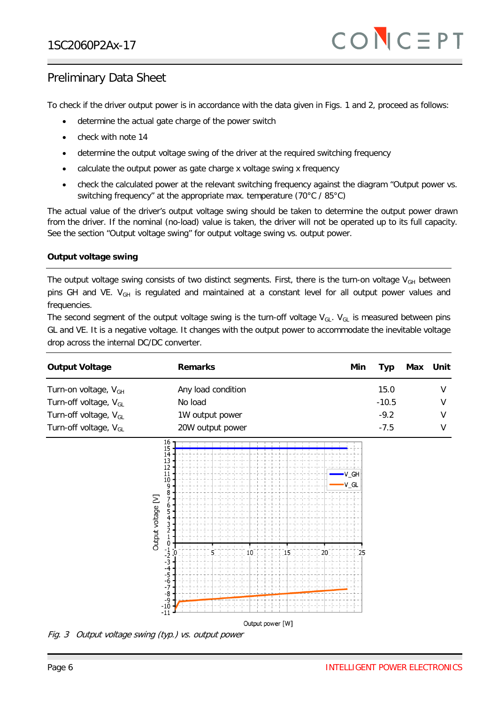To check if the driver output power is in accordance with the data given in Figs. 1 and 2, proceed as follows:

- determine the actual gate charge of the power switch
- check with note 14
- determine the output voltage swing of the driver at the required switching frequency
- calculate the output power as gate charge x voltage swing x frequency
- check the calculated power at the relevant switching frequency against the diagram "Output power vs. switching frequency" at the appropriate max. temperature (70°C / 85°C)

The actual value of the driver's output voltage swing should be taken to determine the output power drawn from the driver. If the nominal (no-load) value is taken, the driver will not be operated up to its full capacity. See the section "Output voltage swing" for output voltage swing vs. output power.

#### **Output voltage swing**

The output voltage swing consists of two distinct segments. First, there is the turn-on voltage  $V_{GH}$  between pins GH and VE. V<sub>GH</sub> is regulated and maintained at a constant level for all output power values and frequencies.

The second segment of the output voltage swing is the turn-off voltage  $V_{GL}$ .  $V_{GL}$  is measured between pins GL and VE. It is a negative voltage. It changes with the output power to accommodate the inevitable voltage drop across the internal DC/DC converter.

| <b>Output Voltage</b>             | <b>Remarks</b>       | Min | Typ     | Max | Unit |
|-----------------------------------|----------------------|-----|---------|-----|------|
| Turn-on voltage, V <sub>GH</sub>  | Any load condition   |     | 15.0    |     |      |
| Turn-off voltage, V <sub>GL</sub> | No load              |     | $-10.5$ |     |      |
| Turn-off voltage, V <sub>GL</sub> | 1W output power      |     | $-9.2$  |     | V    |
| Turn-off voltage, V <sub>GL</sub> | 20W output power     |     | $-7.5$  |     |      |
|                                   | 16<br>15<br>14<br>13 |     |         |     |      |



Fig. 3 Output voltage swing (typ.) vs. output power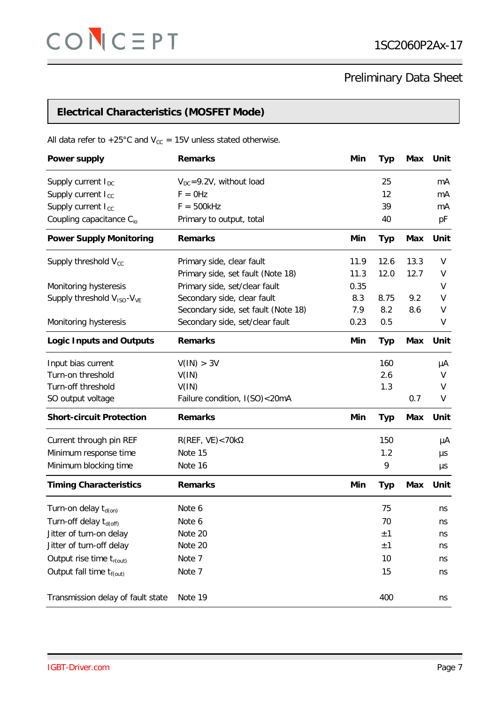## **Electrical Characteristics (MOSFET Mode)**

All data refer to +25°C and  $V_{cc}$  = 15V unless stated otherwise.

| <b>Power supply</b>                                | <b>Remarks</b>                      | Min  | <b>Typ</b> | Max        | Unit |
|----------------------------------------------------|-------------------------------------|------|------------|------------|------|
| Supply current I <sub>DC</sub>                     | $V_{DC} = 9.2V$ , without load      |      | 25         |            | mA   |
| Supply current I <sub>cc</sub>                     | $F = 0$ Hz                          |      | 12         |            | mA   |
| Supply current I <sub>cc</sub>                     | $F = 500kHz$                        |      | 39         |            | mA   |
| Coupling capacitance C <sub>io</sub>               | Primary to output, total            |      | 40         |            | pF   |
| <b>Power Supply Monitoring</b>                     | <b>Remarks</b>                      | Min  | <b>Typ</b> | <b>Max</b> | Unit |
| Supply threshold $V_{cc}$                          | Primary side, clear fault           | 11.9 | 12.6       | 13.3       | V    |
|                                                    | Primary side, set fault (Note 18)   | 11.3 | 12.0       | 12.7       | V    |
| Monitoring hysteresis                              | Primary side, set/clear fault       | 0.35 |            |            | V    |
| Supply threshold V <sub>ISO</sub> -V <sub>VE</sub> | Secondary side, clear fault         | 8.3  | 8.75       | 9.2        | V    |
|                                                    | Secondary side, set fault (Note 18) | 7.9  | 8.2        | 8.6        | V    |
| Monitoring hysteresis                              | Secondary side, set/clear fault     | 0.23 | 0.5        |            | V    |
| <b>Logic Inputs and Outputs</b>                    | <b>Remarks</b>                      | Min  | <b>Typ</b> | Max        | Unit |
| Input bias current                                 | V(1N) > 3V                          |      | 160        |            | μA   |
| Turn-on threshold                                  | V(IN)                               |      | 2.6        |            | V    |
| Turn-off threshold                                 | V(IN)                               |      | 1.3        |            | V    |
| SO output voltage                                  | Failure condition, I(SO)<20mA       |      |            | 0.7        | V    |
| <b>Short-circuit Protection</b>                    | <b>Remarks</b>                      | Min  | <b>Typ</b> | <b>Max</b> | Unit |
| Current through pin REF                            | $R(REF, VE)$ < 70k $\Omega$         |      | 150        |            | μA   |
| Minimum response time                              | Note 15                             |      | 1.2        |            | μs   |
| Minimum blocking time                              | Note 16                             |      | 9          |            | μs   |
| <b>Timing Characteristics</b>                      | <b>Remarks</b>                      | Min  | <b>Typ</b> | <b>Max</b> | Unit |
| Turn-on delay $t_{d(0n)}$                          | Note 6                              |      | 75         |            | ns   |
| Turn-off delay t <sub>d(off)</sub>                 | Note 6                              |      | 70         |            | ns   |
| Jitter of turn-on delay                            | Note 20                             |      | ±1         |            | ns   |
| Jitter of turn-off delay                           | Note 20                             |      | ±1         |            | ns   |
| Output rise time $t_{r(\text{out})}$               | Note 7                              |      | 10         |            | ns   |
| Output fall time $t_{f(out)}$                      | Note 7                              |      | 15         |            | ns   |
| Transmission delay of fault state                  | Note 19                             |      | 400        |            | ns   |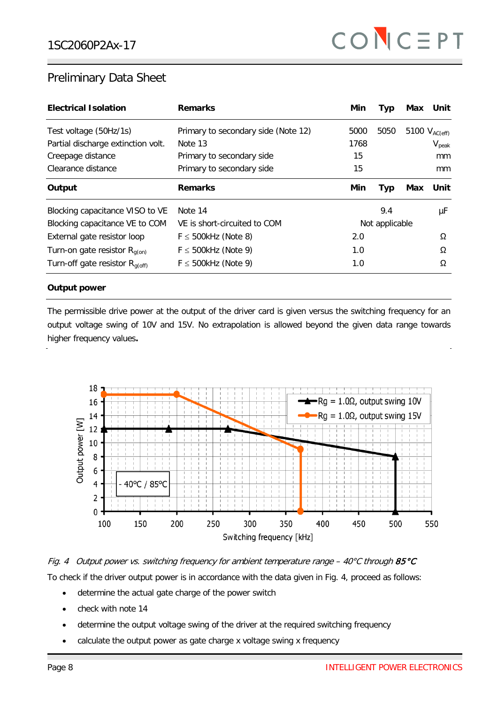| <b>Electrical Isolation</b>                     | <b>Remarks</b>                      | Min  | <b>Typ</b>     | Max | Unit               |
|-------------------------------------------------|-------------------------------------|------|----------------|-----|--------------------|
| Test voltage (50Hz/1s)                          | Primary to secondary side (Note 12) | 5000 | 5050           |     | 5100 $V_{AC(eff)}$ |
| Partial discharge extinction volt.              | Note 13                             | 1768 |                |     | $V_{\text{peak}}$  |
| Creepage distance                               | Primary to secondary side           | 15   |                |     | mm                 |
| Clearance distance                              | Primary to secondary side           | 15   |                |     | mm                 |
| Output                                          | <b>Remarks</b>                      | Min  | Typ            | Max | Unit               |
| Blocking capacitance VISO to VE                 | Note 14                             |      | 9.4            |     | μF                 |
| Blocking capacitance VE to COM                  | VE is short-circuited to COM        |      | Not applicable |     |                    |
| External gate resistor loop                     | $F \le 500$ kHz (Note 8)            | 2.0  |                |     | $\Omega$           |
| Turn-on gate resistor $R_{q(0n)}$               | $F \le 500$ kHz (Note 9)            | 1.0  |                |     | Ω                  |
| Turn-off gate resistor $R_{\alpha(\text{off})}$ | $F \le 500$ kHz (Note 9)            | 1.0  |                |     | Ω                  |

### **Output power**

The permissible drive power at the output of the driver card is given versus the switching frequency for an output voltage swing of 10V and 15V. No extrapolation is allowed beyond the given data range towards higher frequency values**.**



Fig. 4 Output power vs. switching frequency for ambient temperature range – 40°C through 85°C To check if the driver output power is in accordance with the data given in Fig. 4, proceed as follows:

- determine the actual gate charge of the power switch
- check with note 14
- determine the output voltage swing of the driver at the required switching frequency
- calculate the output power as gate charge x voltage swing x frequency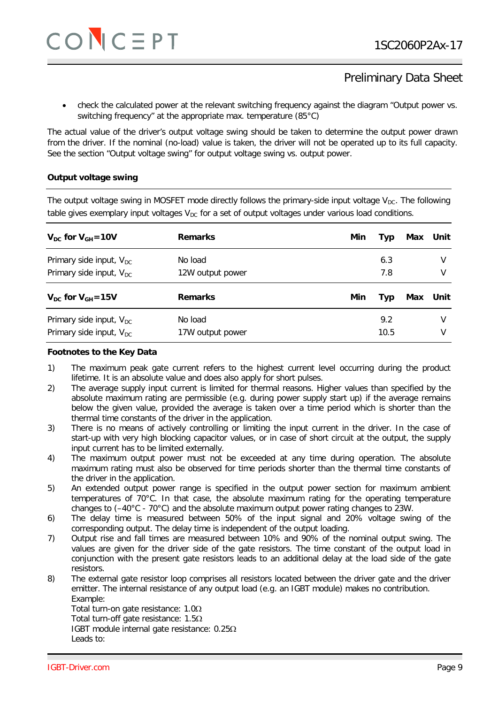• check the calculated power at the relevant switching frequency against the diagram "Output power vs. switching frequency" at the appropriate max. temperature (85°C)

The actual value of the driver's output voltage swing should be taken to determine the output power drawn from the driver. If the nominal (no-load) value is taken, the driver will not be operated up to its full capacity. See the section "Output voltage swing" for output voltage swing vs. output power.

### **Output voltage swing**

The output voltage swing in MOSFET mode directly follows the primary-side input voltage  $V_{DC}$ . The following table gives exemplary input voltages  $V_{DC}$  for a set of output voltages under various load conditions.

| $V_{DC}$ for $V_{GH} = 10V$  | <b>Remarks</b>   | Min | Typ | Max | Unit     |
|------------------------------|------------------|-----|-----|-----|----------|
| Primary side input, $V_{DC}$ | No load          |     | 6.3 |     |          |
| Primary side input, $V_{DC}$ | 12W output power |     | 7.8 |     | V        |
|                              |                  |     |     |     |          |
| $V_{DC}$ for $V_{GH} = 15V$  | <b>Remarks</b>   | Min | Typ |     | Max Unit |
| Primary side input, $V_{DC}$ | No load          |     | 9.2 |     | v        |

#### **Footnotes to the Key Data**

- 1) The maximum peak gate current refers to the highest current level occurring during the product lifetime. It is an absolute value and does also apply for short pulses.
- 2) The average supply input current is limited for thermal reasons. Higher values than specified by the absolute maximum rating are permissible (e.g. during power supply start up) if the average remains below the given value, provided the average is taken over a time period which is shorter than the thermal time constants of the driver in the application.
- 3) There is no means of actively controlling or limiting the input current in the driver. In the case of start-up with very high blocking capacitor values, or in case of short circuit at the output, the supply input current has to be limited externally.
- 4) The maximum output power must not be exceeded at any time during operation. The absolute maximum rating must also be observed for time periods shorter than the thermal time constants of the driver in the application.
- 5) An extended output power range is specified in the output power section for maximum ambient temperatures of 70°C. In that case, the absolute maximum rating for the operating temperature changes to  $(-40^{\circ}C - 70^{\circ}C)$  and the absolute maximum output power rating changes to 23W.
- 6) The delay time is measured between 50% of the input signal and 20% voltage swing of the corresponding output. The delay time is independent of the output loading.
- 7) Output rise and fall times are measured between 10% and 90% of the nominal output swing. The values are given for the driver side of the gate resistors. The time constant of the output load in conjunction with the present gate resistors leads to an additional delay at the load side of the gate resistors.
- 8) The external gate resistor loop comprises all resistors located between the driver gate and the driver emitter. The internal resistance of any output load (e.g. an IGBT module) makes no contribution. Example:

Total turn-on gate resistance: 1.0Ω Total turn-off gate resistance: 1.5Ω IGBT module internal gate resistance: 0.25Ω Leads to: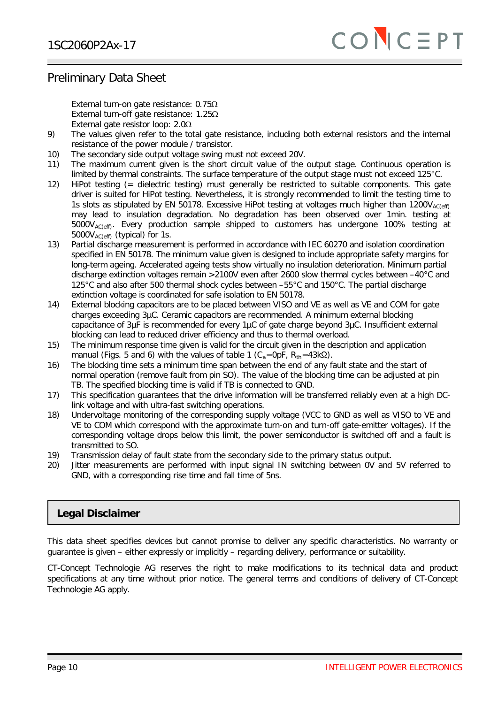External turn-on gate resistance: 0.75Ω External turn-off gate resistance: 1.25Ω External gate resistor loop: 2.0Ω

- 9) The values given refer to the total gate resistance, including both external resistors and the internal resistance of the power module / transistor.
- 10) The secondary side output voltage swing must not exceed 20V.
- 11) The maximum current given is the short circuit value of the output stage. Continuous operation is limited by thermal constraints. The surface temperature of the output stage must not exceed 125°C.
- 12) HiPot testing (= dielectric testing) must generally be restricted to suitable components. This gate driver is suited for HiPot testing. Nevertheless, it is strongly recommended to limit the testing time to 1s slots as stipulated by EN 50178. Excessive HiPot testing at voltages much higher than  $1200V_{AC(eff)}$ may lead to insulation degradation. No degradation has been observed over 1min. testing at  $5000V_{AC(cff)}$ . Every production sample shipped to customers has undergone 100% testing at 5000V<sub>AC(eff)</sub> (typical) for 1s.
- 13) Partial discharge measurement is performed in accordance with IEC 60270 and isolation coordination specified in EN 50178. The minimum value given is designed to include appropriate safety margins for long-term ageing. Accelerated ageing tests show virtually no insulation deterioration. Minimum partial discharge extinction voltages remain >2100V even after 2600 slow thermal cycles between –40°C and 125°C and also after 500 thermal shock cycles between –55°C and 150°C. The partial discharge extinction voltage is coordinated for safe isolation to EN 50178.
- 14) External blocking capacitors are to be placed between VISO and VE as well as VE and COM for gate charges exceeding 3µC. Ceramic capacitors are recommended. A minimum external blocking capacitance of 3µF is recommended for every 1µC of gate charge beyond 3µC. Insufficient external blocking can lead to reduced driver efficiency and thus to thermal overload.
- 15) The minimum response time given is valid for the circuit given in the description and application manual (Figs. 5 and 6) with the values of table 1 ( $C_a=OpF$ ,  $R_{th}=43k\Omega$ ).
- 16) The blocking time sets a minimum time span between the end of any fault state and the start of normal operation (remove fault from pin SO). The value of the blocking time can be adjusted at pin TB. The specified blocking time is valid if TB is connected to GND.
- 17) This specification guarantees that the drive information will be transferred reliably even at a high DClink voltage and with ultra-fast switching operations.
- 18) Undervoltage monitoring of the corresponding supply voltage (VCC to GND as well as VISO to VE and VE to COM which correspond with the approximate turn-on and turn-off gate-emitter voltages). If the corresponding voltage drops below this limit, the power semiconductor is switched off and a fault is transmitted to SO.
- 19) Transmission delay of fault state from the secondary side to the primary status output.
- 20) Jitter measurements are performed with input signal IN switching between 0V and 5V referred to GND, with a corresponding rise time and fall time of 5ns.

### **Legal Disclaimer**

This data sheet specifies devices but cannot promise to deliver any specific characteristics. No warranty or guarantee is given – either expressly or implicitly – regarding delivery, performance or suitability.

CT-Concept Technologie AG reserves the right to make modifications to its technical data and product specifications at any time without prior notice. The general terms and conditions of delivery of CT-Concept Technologie AG apply.